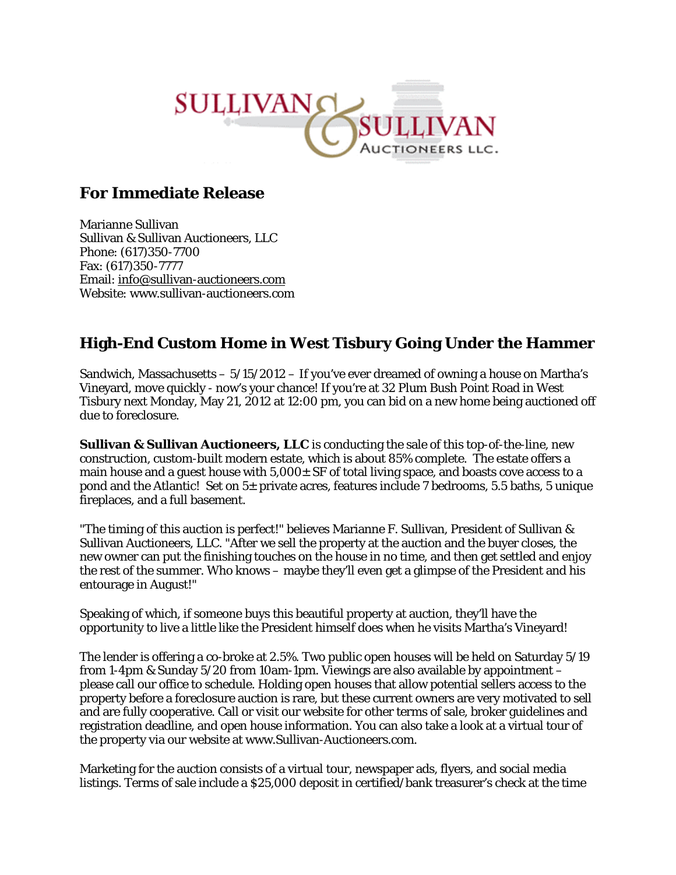

## **For Immediate Release**

Marianne Sullivan Sullivan & Sullivan Auctioneers, LLC Phone: (617)350-7700 Fax: (617)350-7777 Email: info@sullivan-auctioneers.com Website: www.sullivan-auctioneers.com

## **High-End Custom Home in West Tisbury Going Under the Hammer**

Sandwich, Massachusetts – 5/15/2012 – If you've ever dreamed of owning a house on Martha's Vineyard, move quickly - now's your chance! If you're at 32 Plum Bush Point Road in West Tisbury next Monday, May 21, 2012 at 12:00 pm, you can bid on a new home being auctioned off due to foreclosure.

**Sullivan & Sullivan Auctioneers, LLC** is conducting the sale of this top-of-the-line, new construction, custom-built modern estate, which is about 85% complete. The estate offers a main house and a guest house with  $5,000\pm$  SF of total living space, and boasts cove access to a pond and the Atlantic! Set on 5± private acres, features include 7 bedrooms, 5.5 baths, 5 unique fireplaces, and a full basement.

"The timing of this auction is perfect!" believes Marianne F. Sullivan, President of Sullivan & Sullivan Auctioneers, LLC. "After we sell the property at the auction and the buyer closes, the new owner can put the finishing touches on the house in no time, and then get settled and enjoy the rest of the summer. Who knows – maybe they'll even get a glimpse of the President and his entourage in August!"

Speaking of which, if someone buys this beautiful property at auction, they'll have the opportunity to live a little like the President himself does when he visits Martha's Vineyard!

The lender is offering a co-broke at 2.5%. Two public open houses will be held on Saturday 5/19 from 1-4pm & Sunday 5/20 from 10am-1pm. Viewings are also available by appointment – please call our office to schedule. Holding open houses that allow potential sellers access to the property before a foreclosure auction is rare, but these current owners are very motivated to sell and are fully cooperative. Call or visit our website for other terms of sale, broker guidelines and registration deadline, and open house information. You can also take a look at a virtual tour of the property via our website at www.Sullivan-Auctioneers.com.

Marketing for the auction consists of a virtual tour, newspaper ads, flyers, and social media listings. Terms of sale include a \$25,000 deposit in certified/bank treasurer's check at the time